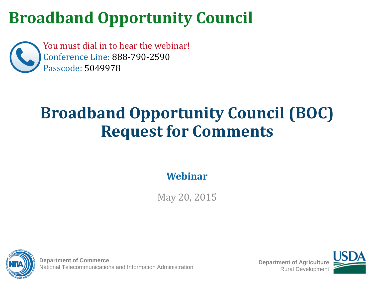You must dial in to hear the webinar! Conference Line: 888-790-2590 Passcode: 5049978

## **Broadband Opportunity Council (BOC) Request for Comments**

**Webinar**

May 20, 2015



**Department of Commerce** National Telecommunications and Information Administration **Department of Agriculture**

Rural Development

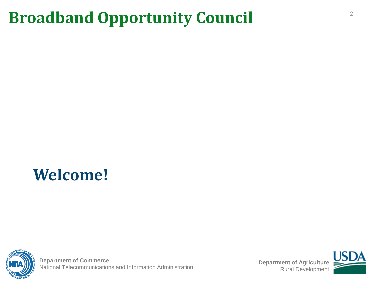## **Welcome!**



**Department of Commerce Department of Commerce**<br>National Telecommunications and Information Administration **Department of Agriculture**<br>Rural Development

Rural Development

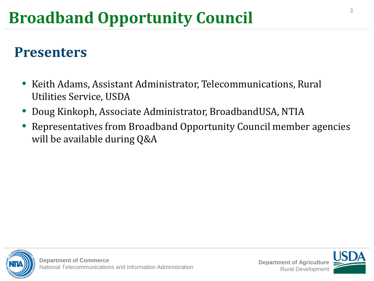#### **Presenters**

- Keith Adams, Assistant Administrator, Telecommunications, Rural Utilities Service, USDA
- Doug Kinkoph, Associate Administrator, BroadbandUSA, NTIA
- Representatives from Broadband Opportunity Council member agencies will be available during Q&A

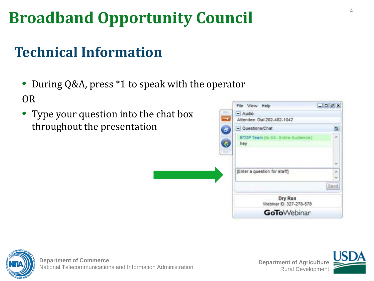### **Technical Information**

- During Q&A, press \*1 to speak with the operator OR
- Type your question into the chat box throughout the presentation

| File View Help                               | $-00x$                       |
|----------------------------------------------|------------------------------|
| $-$ Audio<br>Attendee: Dial 202-482-1042     |                              |
| - Questions/Chat                             | σ                            |
| BTOP Team (to All - Entire Audience):<br>hey | ×                            |
|                                              | ۰                            |
|                                              |                              |
|                                              | Send                         |
| Dry Run<br>Webinar ID: 327-278-578           |                              |
| <b>GoTo</b> Webinar                          |                              |
|                                              | [Enter a question for staff] |





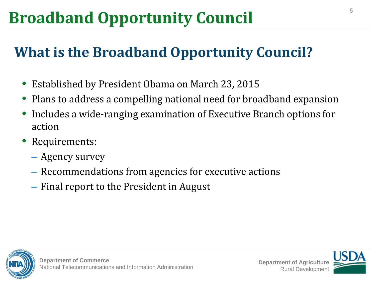### **What is the Broadband Opportunity Council?**

- Established by President Obama on March 23, 2015
- Plans to address a compelling national need for broadband expansion
- Includes a wide-ranging examination of Executive Branch options for action
- Requirements:
	- Agency survey
	- Recommendations from agencies for executive actions
	- Final report to the President in August



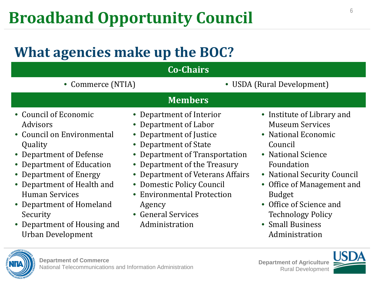#### **What agencies make up the BOC?**

| <b>Co-Chairs</b><br>• USDA (Rural Development)<br>• Commerce (NTIA)<br><b>Members</b><br>• Council of Economic<br>• Institute of Library and<br>• Department of Interior<br><b>Museum Services</b><br><b>Advisors</b><br>• Department of Labor<br>• Council on Environmental<br>• Department of Justice<br>• National Economic<br>• Department of State<br>Quality<br>Council<br>• Department of Transportation<br>• National Science<br>• Department of Defense<br>Foundation<br>• Department of Education<br>• Department of the Treasury<br>• Department of Energy<br>Department of Veterans Affairs<br>• National Security Council<br>$\bullet$<br>• Domestic Policy Council<br>• Department of Health and<br>• Office of Management and<br><b>Human Services</b><br>• Environmental Protection<br><b>Budget</b><br>• Office of Science and<br>• Department of Homeland<br>Agency<br>• General Services<br><b>Technology Policy</b><br>Security<br>• Small Business<br>• Department of Housing and<br>Administration<br>Urban Development<br>Administration |  |  |  |  |
|-----------------------------------------------------------------------------------------------------------------------------------------------------------------------------------------------------------------------------------------------------------------------------------------------------------------------------------------------------------------------------------------------------------------------------------------------------------------------------------------------------------------------------------------------------------------------------------------------------------------------------------------------------------------------------------------------------------------------------------------------------------------------------------------------------------------------------------------------------------------------------------------------------------------------------------------------------------------------------------------------------------------------------------------------------------------|--|--|--|--|
|                                                                                                                                                                                                                                                                                                                                                                                                                                                                                                                                                                                                                                                                                                                                                                                                                                                                                                                                                                                                                                                                 |  |  |  |  |
|                                                                                                                                                                                                                                                                                                                                                                                                                                                                                                                                                                                                                                                                                                                                                                                                                                                                                                                                                                                                                                                                 |  |  |  |  |
|                                                                                                                                                                                                                                                                                                                                                                                                                                                                                                                                                                                                                                                                                                                                                                                                                                                                                                                                                                                                                                                                 |  |  |  |  |
|                                                                                                                                                                                                                                                                                                                                                                                                                                                                                                                                                                                                                                                                                                                                                                                                                                                                                                                                                                                                                                                                 |  |  |  |  |



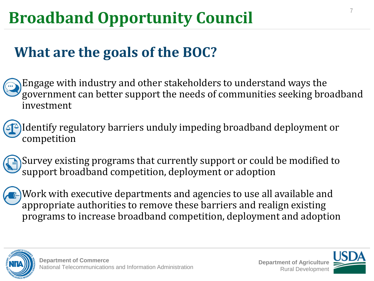#### **What are the goals of the BOC?**

Engage with industry and other stakeholders to understand ways the government can better support the needs of communities seeking broadband investment

Identify regulatory barriers unduly impeding broadband deployment or competition

Survey existing programs that currently support or could be modified to support broadband competition, deployment or adoption

Work with executive departments and agencies to use all available and appropriate authorities to remove these barriers and realign existing programs to increase broadband competition, deployment and adoption



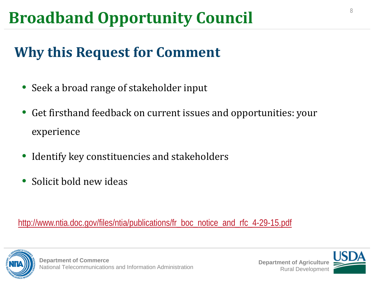#### **Why this Request for Comment**

- Seek a broad range of stakeholder input
- Get firsthand feedback on current issues and opportunities: your experience
- Identify key constituencies and stakeholders
- Solicit bold new ideas

#### [http://www.ntia.doc.gov/files/ntia/publications/fr\\_boc\\_notice\\_and\\_rfc\\_4-29-15.pdf](http://www.ntia.doc.gov/files/ntia/publications/fr_boc_notice_and_rfc_4-29-15.pdf)



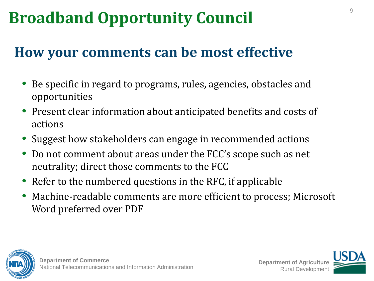#### **How your comments can be most effective**

- Be specific in regard to programs, rules, agencies, obstacles and opportunities
- Present clear information about anticipated benefits and costs of actions
- Suggest how stakeholders can engage in recommended actions
- Do not comment about areas under the FCC's scope such as net neutrality; direct those comments to the FCC
- Refer to the numbered questions in the RFC, if applicable
- Machine-readable comments are more efficient to process; Microsoft Word preferred over PDF



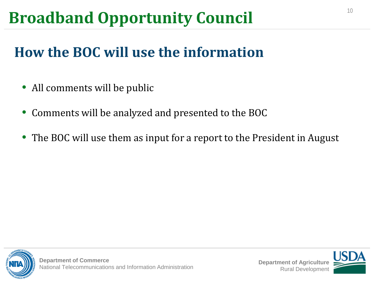### **How the BOC will use the information**

- All comments will be public
- Comments will be analyzed and presented to the BOC
- The BOC will use them as input for a report to the President in August

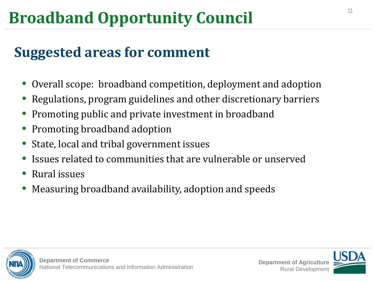#### **Suggested areas for comment**

- Overall scope: broadband competition, deployment and adoption
- Regulations, program guidelines and other discretionary barriers
- Promoting public and private investment in broadband
- Promoting broadband adoption
- State, local and tribal government issues
- Issues related to communities that are vulnerable or unserved
- Rural issues
- Measuring broadband availability, adoption and speeds



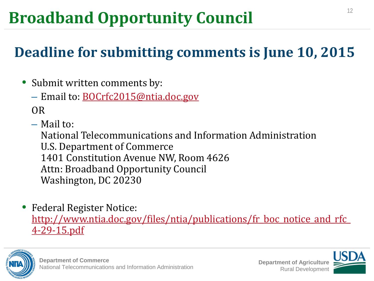### **Deadline for submitting comments is June 10, 2015**

- Submit written comments by:
	- Email to: **[BOCrfc2015@ntia.doc.gov](mailto:BOCrfc2015@ntia.doc.gov)**

OR

– Mail to:

National Telecommunications and Information Administration U.S. Department of Commerce 1401 Constitution Avenue NW, Room 4626 Attn: Broadband Opportunity Council Washington, DC 20230

• Federal Register Notice: [http://www.ntia.doc.gov/files/ntia/publications/fr\\_boc\\_notice\\_and\\_rfc\\_](http://www.ntia.doc.gov/files/ntia/publications/fr_boc_notice_and_rfc_4-29-15.pdf) [4-29-15.pdf](http://www.ntia.doc.gov/files/ntia/publications/fr_boc_notice_and_rfc_4-29-15.pdf)